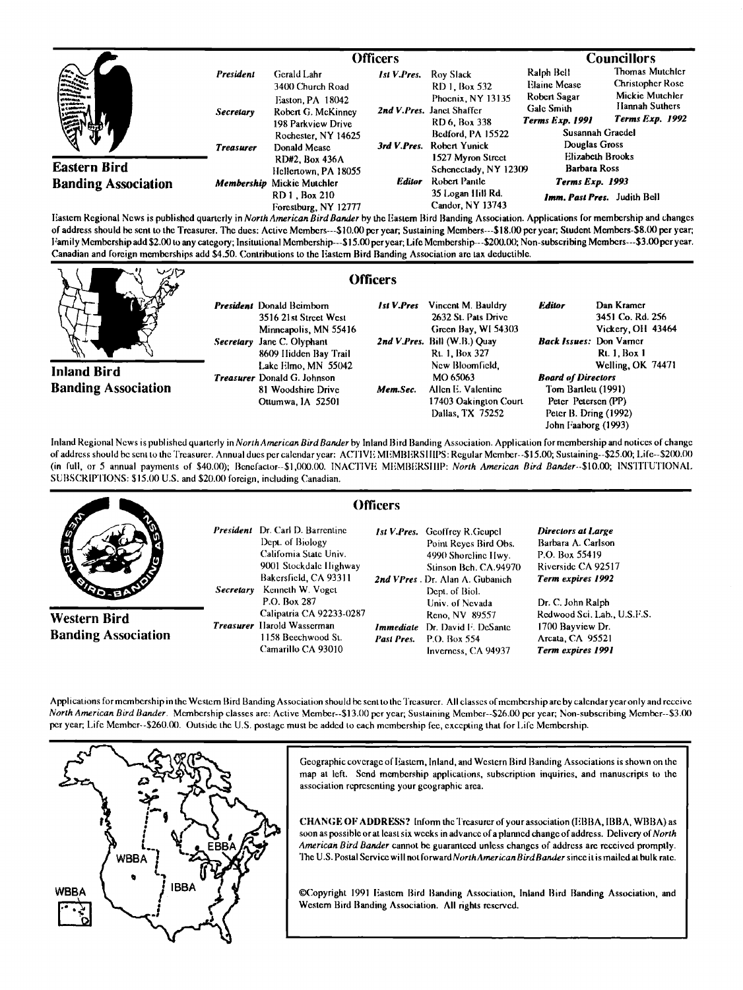|                                                   |                               |                                                                                                |                    |                                                                                               | <b>Councillors</b>                                                                 |                                                                                                    |
|---------------------------------------------------|-------------------------------|------------------------------------------------------------------------------------------------|--------------------|-----------------------------------------------------------------------------------------------|------------------------------------------------------------------------------------|----------------------------------------------------------------------------------------------------|
| 美产                                                | President<br><b>Secretary</b> | Gerald Lahr<br>3400 Church Road<br>Easton PA 18042<br>Robert G. McKinney<br>198 Parkview Drive | <b>Ist V.Pres.</b> | Roy Slack<br>RD 1, Box 532<br>Phoenix, NY 13135<br>2nd V.Pres. Janct Shaffer<br>RD 6, Box 338 | Ralph Bell<br><b>Elaine Mease</b><br>Robert Sagar<br>Galc Smith<br>Terms Exp. 1991 | Thomas Mutchler<br><b>Christopher Rose</b><br>Mickie Mutchler<br>Hannah Suthers<br>Terms Exp. 1992 |
| ₹Ъ                                                | <b>Treasurer</b>              | Rochester, NY 14625<br>Donald Mease<br>RD#2. Box 436A                                          |                    | Bedford, PA 15522<br>3rd V.Pres. Robert Yunick<br>1527 Myron Street                           | Susannah Gracdel<br>Douglas Gross<br>Elizabeth Brooks                              |                                                                                                    |
| <b>Eastern Bird</b><br><b>Banding Association</b> |                               | Hellertown, PA 18055<br>Membership Mickie Mutchler                                             | <b>Editor</b>      | Schenectady, NY 12309<br>Robert Pantle                                                        | <b>Barbara Ross</b><br><b>Terms Exp. 1993</b>                                      |                                                                                                    |
|                                                   |                               | RD 1, Box 210<br>Forestburg, NY 12777                                                          |                    | 35 Logan Hill Rd.<br>Candor, NY 13743                                                         | Imm. Past Pres. Judith Bell                                                        |                                                                                                    |

**Eastern Regional News is published quarterly in North American Bird Bander by the Eastern Bird Banding Association. Applications for membership and changes of address should be sento the Treasurer. The dues: Active Members---S10.00 per year; Sustaining Members---S18.00 per year; Student Members-\$8.(X) per year; Family Membership add \$2.00 to any category; Insitutional Membership---\$15.00 per year; Life Membership---\$200.(X); Non-subscribing Members---\$3.00per year.**  Canadian and foreign memberships add \$4.50. Contributions to the Eastern Bird Banding Association are tax deductible.

|                                                  |                                                                                                                                              | Officers   |                                                                                                                    |                                                                                                                         |                                                                            |
|--------------------------------------------------|----------------------------------------------------------------------------------------------------------------------------------------------|------------|--------------------------------------------------------------------------------------------------------------------|-------------------------------------------------------------------------------------------------------------------------|----------------------------------------------------------------------------|
|                                                  | <b>President</b> Donald Beimborn<br>3516 21st Street West<br>Minneapolis, MN 55416<br>Jane C. Olyphant<br>Secretary<br>8609 Hidden Bay Trail | Ist V.Pres | Vincent M. Bauldry<br>2632 St. Pats Drive<br>Green Bay, WI 54303<br>2nd V.Pres. Bill (W.B.) Quay<br>Rt. 1, Box 327 | <b>Editor</b><br><b>Back Issues: Don Varner</b>                                                                         | Dan Kramer<br>3451 Co. Rd. 256<br>Vickery, OH 43464<br><b>Rt. 1. Box 1</b> |
| <b>Inland Bird</b><br><b>Banding Association</b> | Lake Elmo, MN 55042<br><b>Treasurer</b> Donald G. Johnson<br>81 Woodshire Drive<br>Ottumwa, IA 52501                                         | Mem.Sec.   | New Bloomfield.<br>MO 65063<br>Allen E. Valentine<br>17403 Oakington Court<br>Dallas, TX 75252                     | <b>Board of Directors</b><br>Tom Bartlett (1991)<br>Peter Petersen (PP)<br>Peter B. Dring (1992)<br>John Faaborg (1993) | Welling, OK 74471                                                          |

Inland Regional News is published quarterly in North American Bird Bander by Inland Bird Banding Association. Application for membership and notices of change of address should be sent to the Treasurer. Annual dues per calendar year: ACTIVE MEMBERSIIIPS: Regular Member--\$15.00; Sustaining--\$25.00; Life--\$200.00 (in full, or 5 annual payments of \$40.00); Benefactor--\$1,000.00. INACTIVE MEMBERSHIP: North American Bird Bander--\$10.00; INSTITUTIONAL **SUBSCRIPTIONS: \$15.00 U.S. and \$20.00 foreign, including Canadian.** 

|                                            | Officers                                                                                                                                                                                 |                                                                                                                                                                                       |                                                                                                                            |
|--------------------------------------------|------------------------------------------------------------------------------------------------------------------------------------------------------------------------------------------|---------------------------------------------------------------------------------------------------------------------------------------------------------------------------------------|----------------------------------------------------------------------------------------------------------------------------|
| <b>AND</b><br><b>SOLE</b> T                | <b>President</b> Dr. Carl D. Barrentine<br>Dept. of Biology<br>Califomia State Univ.<br>9001 Stockdale Highway<br>Bakersfield, CA 93311<br>Kenneth W. Voget<br>Secretary<br>P.O. Box 287 | <b>Ist V.Pres.</b> Geoffrey R.Geupel<br>Point Reyes Bird Obs.<br>4990 Shoreline Hwy.<br>Stinson Bch. CA.94970<br>2nd VPres. Dr. Alan A. Gubanich<br>Dept. of Biol.<br>Univ. of Nevada | Directors at Large<br>Barbara A. Carlson<br>P.O. Box 55419<br>Riverside CA 92517<br>Term expires 1992<br>Dr. C. John Ralph |
| Western Bird<br><b>Banding Association</b> | Calipatria CA 92233-0287<br>Treasurer Harold Wasserman<br>1158 Beechwood St.<br>Camarillo CA 93010                                                                                       | Reno, NV 89557<br><b>Immediate</b> Dr. David F. DeSante<br>P.O. Box 554<br>Past Pres.<br>Inverness, CA 94937                                                                          | Redwood Sci. Lab., U.S.F.S.<br>1700 Bayview Dr.<br>Arcata, CA 95521<br>Term expires 1991                                   |

Applications for membership in the Western Bird Banding Association should be sent to the Treasurer. All classes of membership are by calendar year only and receive **North American Bird Bander. Membership classes are: Active Member--S13.00 per year; Sustaining Mmnber--\$26.00 per year; Non-subscribing Member--\$3.(X) per year; Life Member--S260.00. Outside the U.S. postage must be added to each membership fee, excepting that for Life Membership.** 



Geographic coverage of Eastern, Inland, and Western Bird Banding Associations is shown on the **map at left. Send membership applications, subscription inquiries, and manuscripts to the association representing your geographic area.** 

**CHANGE OF ADDRESS? Inform theTreasurer of your association (EBBA, IBBA, WBBA) as**  soon as possible or at least six weeks in advance of a planned change of address. Delivery of North **American Bird Bander cannot be guaranteed unless changes of address are received promptly. The U.S. Postal Service wi II not forward North American BirdBander since it is mailed at bulk rate.** 

©Copyright 1991 Eastern Bird Banding Association, Inland Bird Banding Association, and **Western Bird Banding Association. All rights reserved.**